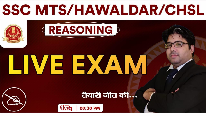# **SSC MTS/HAWALDAR/CHSL**

# LIVE EXAM

**(REASONING)** 

## तैयारी जीत की...

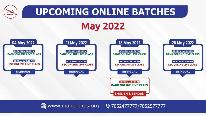

www.mahendras.org **ৢ** 7052477777/7052577777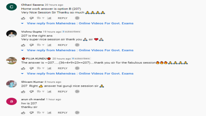

Chhavi Saxena 20 hours ago Home work answer is option B (207) Very Nice Session Sir Thanku so much & & & &

- rts of the control and **REPLY**
- $\blacktriangleright$  View reply from Mahendras : Online Videos For Govt. Exams



Vishnu Gupta 19 hours ago 3 subscribers 207 is the right ans Very super nice session sir thank you  $\Lambda$  sir  $\blacklozenge \Lambda$ 

- 급 <del>모</del> 15 v lat **REPLY**
- $\blacktriangleright$  View reply from Mahendras : Online Videos For Govt. Exams



PUJA KUNDU 20 hours ago 8 subscribers

The answer is  $-207$ .....(36÷4=9×23==207)....thank you sir for the fabulous session  $\bullet \bullet \bullet \bullet \bullet \bullet \bullet \bullet$ 

- 凸 见 10 V 同 **REPLY**
- $\blacktriangleright$  View reply from Mahendras : Online Videos For Govt. Exams



Shivam Kumar 8 hours ago





| arun ch mandal 1 hour ago |  |  |
|---------------------------|--|--|
| hw is $207$               |  |  |
| thanku sir                |  |  |

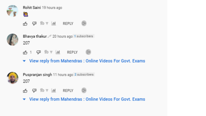

Rohit Saini 19 hours ago



 $10 \times 10$  REPLY 項





Bhavya thakur 20 hours ago 1 subscribers 207



▼ View reply from Mahendras: Online Videos For Govt. Exams



Puspranjan singh 11 hours ago 2 subscribers 207



 $\blacktriangleright$  View reply from Mahendras : Online Videos For Govt. Exams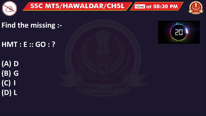



**Find the missing :-**

**HMT : E :: GO : ?** 

**(A) D (B) G (C) I (D) L**

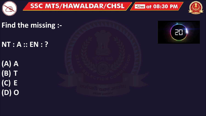



Find the missing :-

NT : A :: EN : ?

 $(A)$   $A$  $(B)$  T  $(C) E$  $(D)$  O

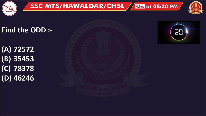





#### **Find the ODD :-**

**(A) 72572 (B) 35453 (C) 78378 (D) 46246**



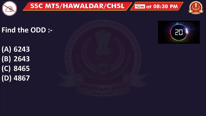





#### **Find the ODD :-**

**(A) 6243 (B) 2643 (C) 8465 (D) 4867**



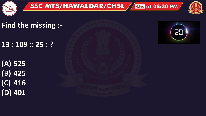



Find the missing :-

 $13:109::25:?$ 

 $(A)$  525  $(B)$  425  $(C)$  416  $(D)$  401

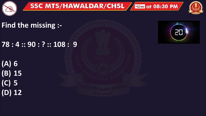





**Find the missing :-**

**78 : 4 :: 90 : ? :: 108 : 9**

**(A) 6 (B) 15 (C) 5 (D) 12**

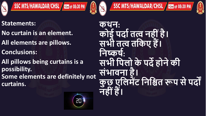





#### **Statements:**

- **No curtain is an element.**
- **All elements are pillows.**
- **Conclusions:**
- **All pillows being curtains is a possibility.**
- **Some elements are definitely not curtains.**



**कथन: कोई पर्दातत्व नह ींहै। सभ तत्व तककए हैं। कनष्कर्ा:**  सभी पिलो के पर्दे होने की **सींभदवनद है। कु छ एकलमेंट कनकित रूप सेपर्ों नह ींहैं।**

SSC MTS/HAWALDAR/CHSL / Live at 08:30 PM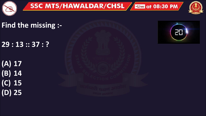



### **Find the missing :-**

**29 : 13 :: 37 : ?** 

**(A) 17 (B) 14 (C) 15 (D) 25**

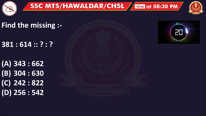





### **Find the missing :-**

**381 : 614 :: ? : ?** 

**(A) 343 : 662 (B) 304 : 630 (C) 242 : 822 (D) 256 : 542**

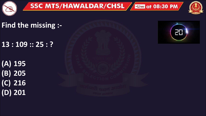



Find the missing :-

 $13:109::25:?$ 

 $\overline{(A) 195}$  $(B)$  205  $(C)$  216  $(D)$  201

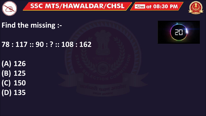





**Find the missing :-**

**78 : 117 :: 90 : ? :: 108 : 162** 

**(A) 126 (B) 125 (C) 150 (D) 135**

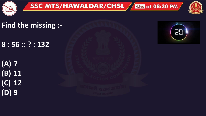



## Find the missing :-

 $8:56::?:132$ 

 $(A)$  7  $(B)$  11  $(C)$  12  $(D)9$ 

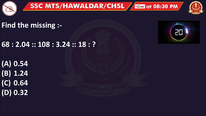





#### **Find the missing :-**

**68 : 2.04 :: 108 : 3.24 :: 18 : ?** 

**(A) 0.54 (B) 1.24 (C) 0.64 (D) 0.32**

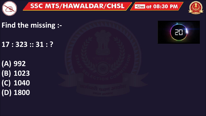



Find the missing :-

 $17:323::31:?$ 

 $\overline{(A)992}$  $(B) 1023$  $(C)$  1040  $(D)$  1800

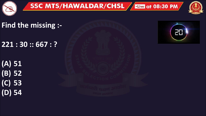



Find the missing :-

 $221:30::667:?$ 

 $(A) 51$  $(B)$  52  $(C)$  53  $(D)$  54

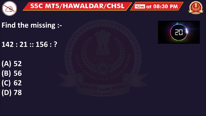



Find the missing :-

 $142:21::156:?$ 

 $(A)$  52  $(B)$  56  $(C)$  62  $(D)$  78

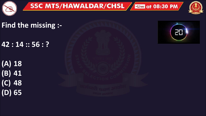



Find the missing :-

 $42:14::56:?$ 

 $(A)$  18  $(B)$  41  $(C)$  48  $(D)$  65

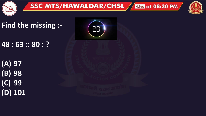



Find the missing :-

48 : 63 :: 80 : ?

 $(A)$  97  $(B)$  98  $(C)$  99  $(D)$  101

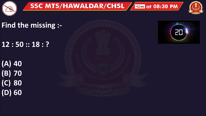



## **Find the missing :-**

**12 : 50 :: 18 : ?** 

**(A) 40 (B) 70 (C) 80 (D) 60**